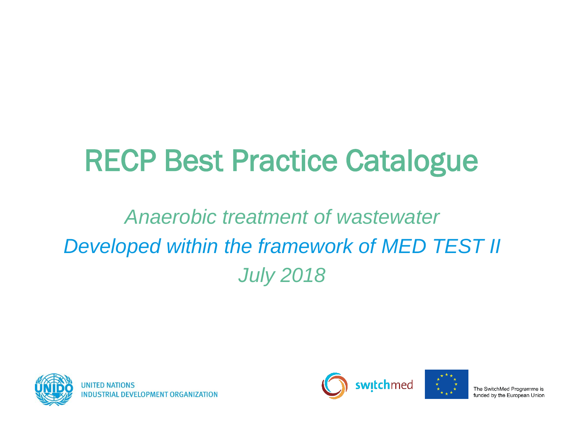# RECP Best Practice Catalogue

#### *Anaerobic treatment of wastewater Developed within the framework of MED TEST II July 2018*





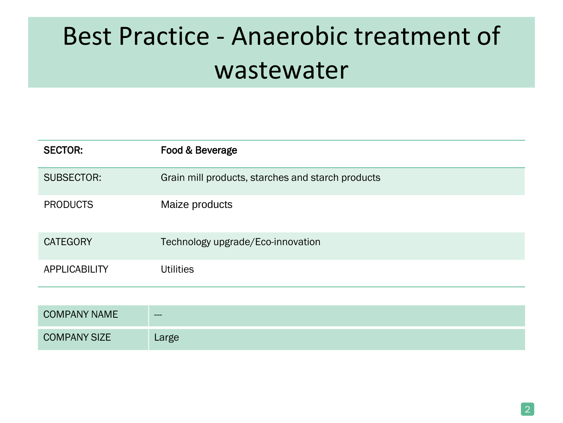| <b>SECTOR:</b>       | Food & Beverage                                   |
|----------------------|---------------------------------------------------|
| SUBSECTOR:           | Grain mill products, starches and starch products |
| <b>PRODUCTS</b>      | Maize products                                    |
| <b>CATEGORY</b>      | Technology upgrade/Eco-innovation                 |
| <b>APPLICABILITY</b> | <b>Utilities</b>                                  |
|                      |                                                   |
| <b>COMPANY NAME</b>  |                                                   |

| <b>COMPANY SIZE</b> |  |
|---------------------|--|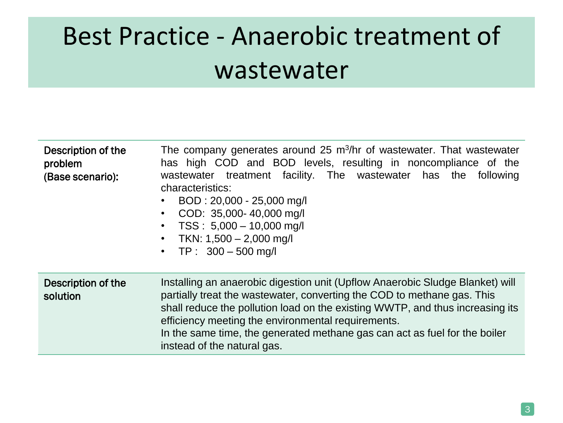| Description of the<br>problem<br>(Base scenario): | The company generates around 25 m <sup>3</sup> /hr of wastewater. That wastewater<br>has high COD and BOD levels, resulting in noncompliance of the<br>wastewater treatment facility. The wastewater has the following<br>characteristics:<br>BOD: 20,000 - 25,000 mg/l<br>COD: 35,000-40,000 mg/l<br>$TSS: 5,000 - 10,000$ mg/l<br>TKN: 1,500 - 2,000 mg/l<br>$\bullet$<br>• TP: $300 - 500$ mg/l           |
|---------------------------------------------------|--------------------------------------------------------------------------------------------------------------------------------------------------------------------------------------------------------------------------------------------------------------------------------------------------------------------------------------------------------------------------------------------------------------|
| Description of the<br>solution                    | Installing an anaerobic digestion unit (Upflow Anaerobic Sludge Blanket) will<br>partially treat the wastewater, converting the COD to methane gas. This<br>shall reduce the pollution load on the existing WWTP, and thus increasing its<br>efficiency meeting the environmental requirements.<br>In the same time, the generated methane gas can act as fuel for the boiler<br>instead of the natural gas. |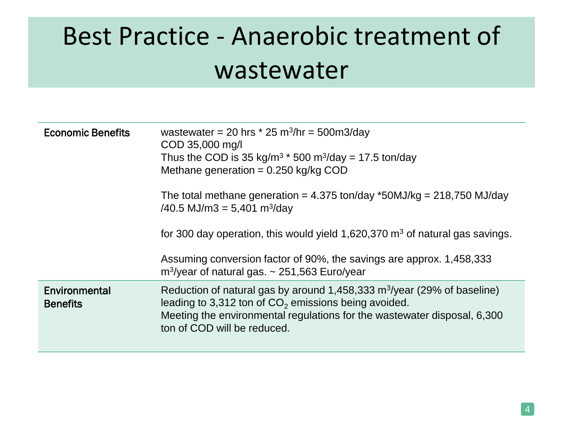| <b>Economic Benefits</b>         | wastewater = 20 hrs $*$ 25 m <sup>3</sup> /hr = 500m3/day<br>COD 35,000 mg/l<br>Thus the COD is 35 kg/m <sup>3</sup> $*$ 500 m <sup>3</sup> /day = 17.5 ton/day<br>Methane generation = $0.250$ kg/kg COD                                                                                                                                        |
|----------------------------------|--------------------------------------------------------------------------------------------------------------------------------------------------------------------------------------------------------------------------------------------------------------------------------------------------------------------------------------------------|
|                                  | The total methane generation = $4.375$ ton/day *50MJ/kg = $218,750$ MJ/day<br>$/40.5$ MJ/m3 = 5,401 m <sup>3</sup> /day<br>for 300 day operation, this would yield $1,620,370$ m <sup>3</sup> of natural gas savings.<br>Assuming conversion factor of 90%, the savings are approx. 1,458,333<br>$m^3$ /year of natural gas. ~ 251,563 Euro/year |
| Environmental<br><b>Benefits</b> | Reduction of natural gas by around 1,458,333 m <sup>3</sup> /year (29% of baseline)<br>leading to 3,312 ton of $CO2$ emissions being avoided.<br>Meeting the environmental regulations for the wastewater disposal, 6,300<br>ton of COD will be reduced.                                                                                         |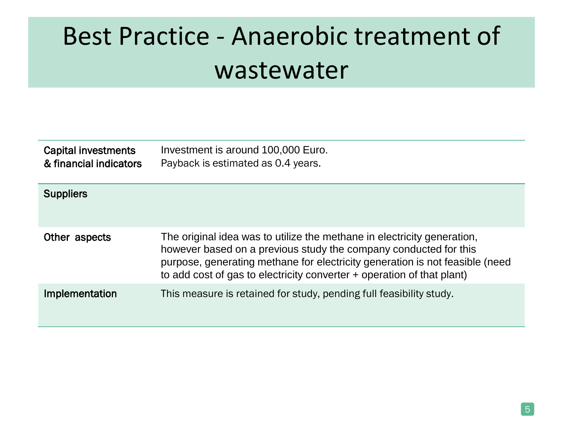| <b>Capital investments</b><br>& financial indicators | Investment is around 100,000 Euro.<br>Payback is estimated as 0.4 years.                                                                                                                                                                                                                              |
|------------------------------------------------------|-------------------------------------------------------------------------------------------------------------------------------------------------------------------------------------------------------------------------------------------------------------------------------------------------------|
| <b>Suppliers</b>                                     |                                                                                                                                                                                                                                                                                                       |
| Other aspects                                        | The original idea was to utilize the methane in electricity generation,<br>however based on a previous study the company conducted for this<br>purpose, generating methane for electricity generation is not feasible (need<br>to add cost of gas to electricity converter + operation of that plant) |
| Implementation                                       | This measure is retained for study, pending full feasibility study.                                                                                                                                                                                                                                   |